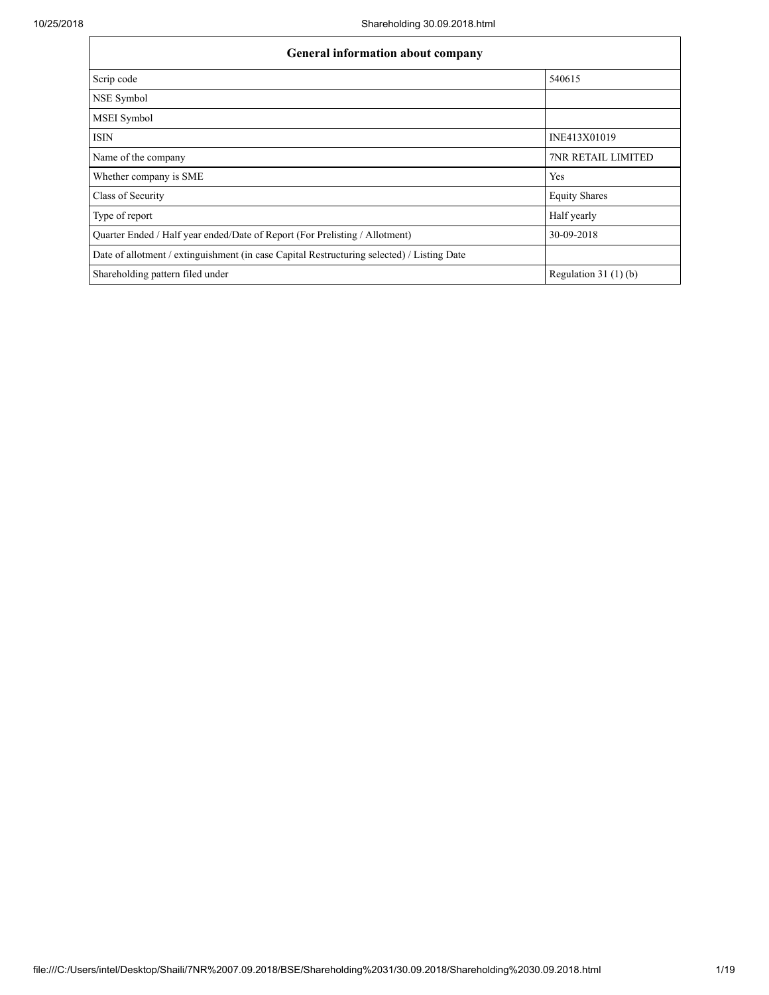| General information about company                                                          |                           |  |  |  |  |  |
|--------------------------------------------------------------------------------------------|---------------------------|--|--|--|--|--|
| Scrip code                                                                                 | 540615                    |  |  |  |  |  |
| NSE Symbol                                                                                 |                           |  |  |  |  |  |
| <b>MSEI</b> Symbol                                                                         |                           |  |  |  |  |  |
| <b>ISIN</b>                                                                                | INE413X01019              |  |  |  |  |  |
| Name of the company                                                                        | <b>7NR RETAIL LIMITED</b> |  |  |  |  |  |
| Whether company is SME                                                                     | Yes                       |  |  |  |  |  |
| Class of Security                                                                          | <b>Equity Shares</b>      |  |  |  |  |  |
| Type of report                                                                             | Half yearly               |  |  |  |  |  |
| Quarter Ended / Half year ended/Date of Report (For Prelisting / Allotment)                | 30-09-2018                |  |  |  |  |  |
| Date of allotment / extinguishment (in case Capital Restructuring selected) / Listing Date |                           |  |  |  |  |  |
| Shareholding pattern filed under                                                           | Regulation $31(1)(b)$     |  |  |  |  |  |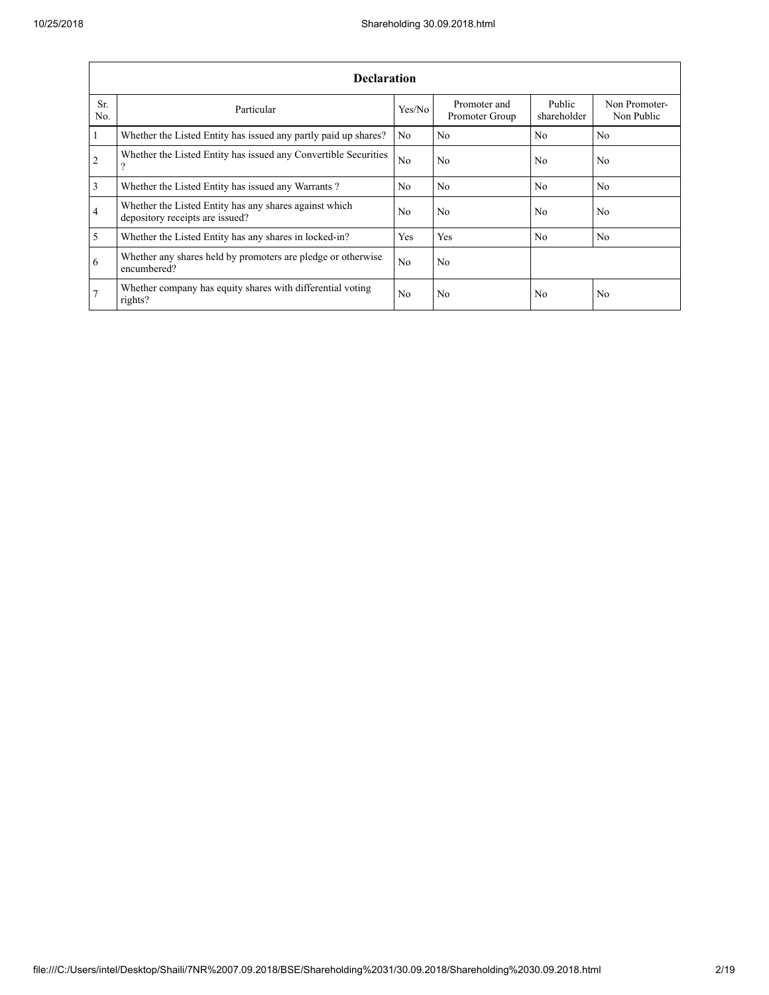|                | <b>Declaration</b>                                                                        |                |                                |                       |                             |  |  |  |  |  |
|----------------|-------------------------------------------------------------------------------------------|----------------|--------------------------------|-----------------------|-----------------------------|--|--|--|--|--|
| Sr.<br>No.     | Particular                                                                                | Yes/No         | Promoter and<br>Promoter Group | Public<br>shareholder | Non Promoter-<br>Non Public |  |  |  |  |  |
| $\mathbf{1}$   | Whether the Listed Entity has issued any partly paid up shares?                           | No             | N <sub>0</sub>                 | No.                   | N <sub>0</sub>              |  |  |  |  |  |
| $\overline{2}$ | Whether the Listed Entity has issued any Convertible Securities<br>9                      | N <sub>0</sub> | N <sub>0</sub>                 | No                    | N <sub>0</sub>              |  |  |  |  |  |
| $\overline{3}$ | Whether the Listed Entity has issued any Warrants?                                        | No.            | N <sub>0</sub>                 | N <sub>0</sub>        | N <sub>0</sub>              |  |  |  |  |  |
| $\overline{4}$ | Whether the Listed Entity has any shares against which<br>depository receipts are issued? |                | N <sub>0</sub>                 | No.                   | N <sub>0</sub>              |  |  |  |  |  |
| $\overline{5}$ | Whether the Listed Entity has any shares in locked-in?                                    | <b>Yes</b>     | Yes                            | N <sub>0</sub>        | N <sub>0</sub>              |  |  |  |  |  |
| 6              | Whether any shares held by promoters are pledge or otherwise<br>encumbered?               | No.            | N <sub>0</sub>                 |                       |                             |  |  |  |  |  |
| 7              | Whether company has equity shares with differential voting<br>rights?                     | No             | N <sub>0</sub>                 | No                    | N <sub>0</sub>              |  |  |  |  |  |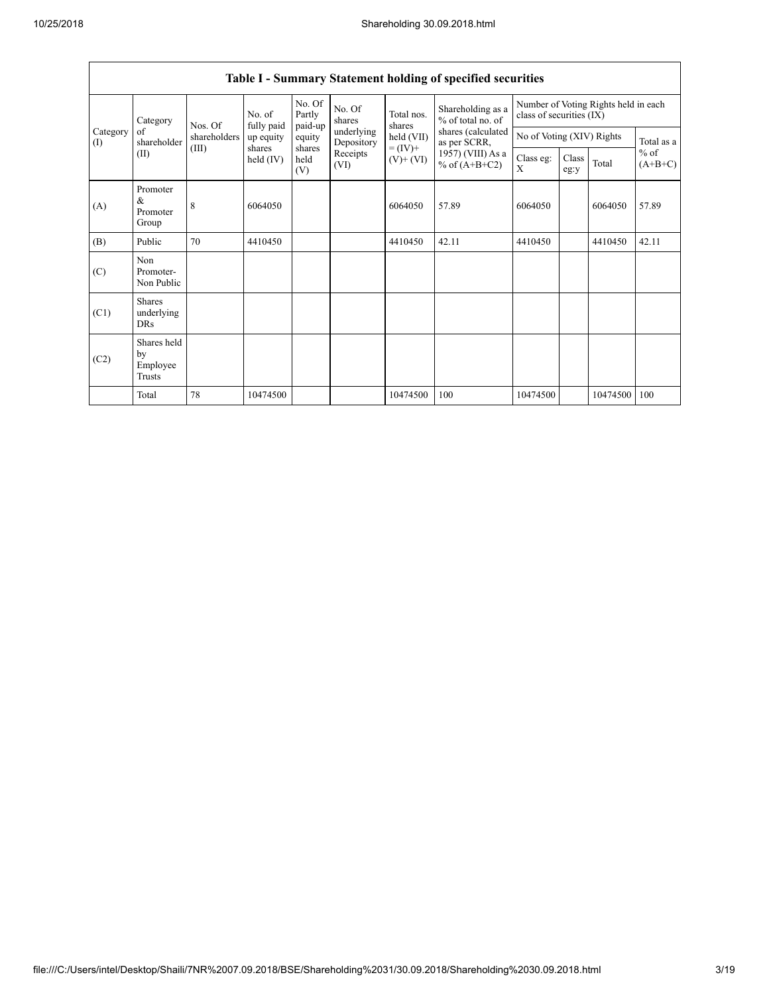|                 | Category                                | Nos. Of      | No. of<br>fully paid | No. Of<br>Partly<br>paid-up | No. Of<br>shares<br>underlying<br>Depository | Total nos.<br>shares     | Shareholding as a<br>% of total no. of | Number of Voting Rights held in each<br>class of securities (IX) |               |          |                     |
|-----------------|-----------------------------------------|--------------|----------------------|-----------------------------|----------------------------------------------|--------------------------|----------------------------------------|------------------------------------------------------------------|---------------|----------|---------------------|
| Category<br>(1) | of<br>shareholder                       | shareholders | up equity            | equity                      |                                              | held (VII)<br>$= (IV) +$ | shares (calculated<br>as per SCRR,     | No of Voting (XIV) Rights                                        |               |          | Total as a          |
|                 | (II)                                    | (III)        | shares<br>held (IV)  |                             | shares<br>Receipts<br>held<br>(VI)<br>(V)    |                          | 1957) (VIII) As a<br>% of $(A+B+C2)$   | Class eg:<br>X                                                   | Class<br>eg:y | Total    | $%$ of<br>$(A+B+C)$ |
| (A)             | Promoter<br>&<br>Promoter<br>Group      | 8            | 6064050              |                             |                                              | 6064050                  | 57.89                                  | 6064050                                                          |               | 6064050  | 57.89               |
| (B)             | Public                                  | 70           | 4410450              |                             |                                              | 4410450                  | 42.11                                  | 4410450                                                          |               | 4410450  | 42.11               |
| (C)             | Non<br>Promoter-<br>Non Public          |              |                      |                             |                                              |                          |                                        |                                                                  |               |          |                     |
| (C1)            | <b>Shares</b><br>underlying<br>DRs      |              |                      |                             |                                              |                          |                                        |                                                                  |               |          |                     |
| (C2)            | Shares held<br>by<br>Employee<br>Trusts |              |                      |                             |                                              |                          |                                        |                                                                  |               |          |                     |
|                 | Total                                   | 78           | 10474500             |                             |                                              | 10474500                 | 100                                    | 10474500                                                         |               | 10474500 | 100                 |

## Table I - Summary Statement holding of specified securities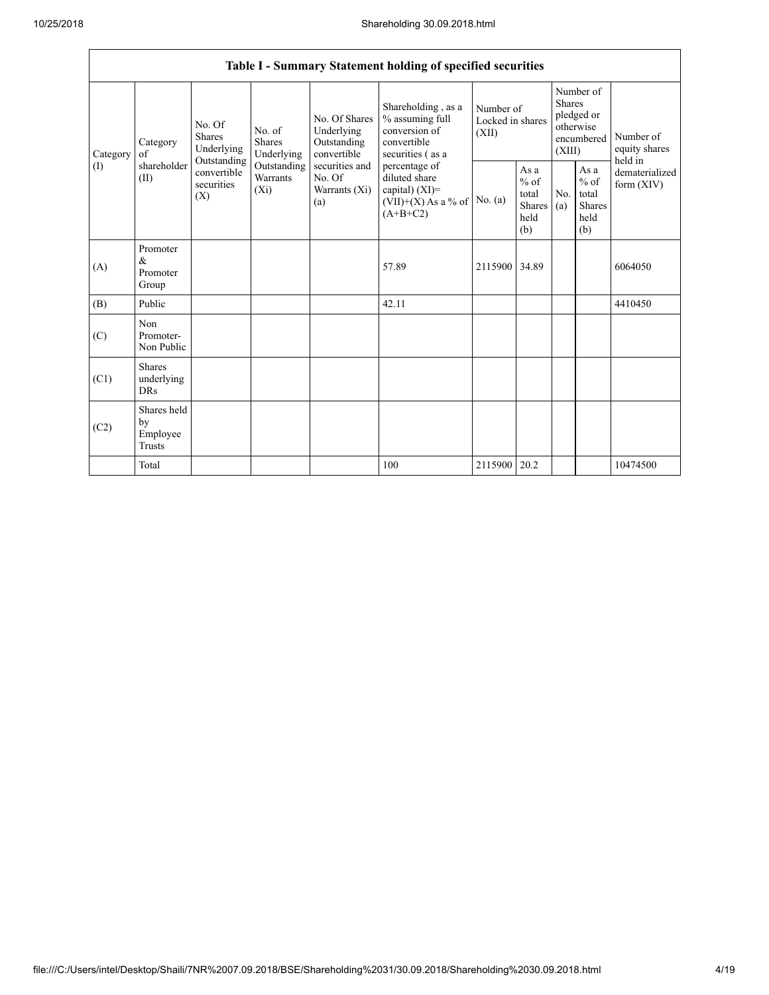|                               |                                                |                                                                                       |                                |                                                           | Table I - Summary Statement holding of specified securities                                                |                                        |                                                  |                                                                               |                                                         |                                           |
|-------------------------------|------------------------------------------------|---------------------------------------------------------------------------------------|--------------------------------|-----------------------------------------------------------|------------------------------------------------------------------------------------------------------------|----------------------------------------|--------------------------------------------------|-------------------------------------------------------------------------------|---------------------------------------------------------|-------------------------------------------|
| Category<br>of<br>(1)<br>(II) | Category                                       | No. Of<br><b>Shares</b><br>Underlying                                                 | No. of<br>Shares<br>Underlying | No. Of Shares<br>Underlying<br>Outstanding<br>convertible | Shareholding, as a<br>% assuming full<br>conversion of<br>convertible<br>securities (as a<br>percentage of | Number of<br>Locked in shares<br>(XII) |                                                  | Number of<br><b>Shares</b><br>pledged or<br>otherwise<br>encumbered<br>(XIII) |                                                         | Number of<br>equity shares                |
|                               | shareholder                                    | Outstanding<br>Outstanding<br>convertible<br>Warrants<br>securities<br>$(X_i)$<br>(X) |                                | securities and<br>No. Of<br>Warrants (Xi)<br>(a)          | diluted share<br>capital) (XI)=<br>$(VII)+(X)$ As a % of<br>$(A+B+C2)$                                     | No. (a)                                | As a<br>$%$ of<br>total<br>Shares<br>held<br>(b) | N <sub>0</sub><br>(a)                                                         | As a<br>$%$ of<br>total<br><b>Shares</b><br>held<br>(b) | held in<br>dematerialized<br>form $(XIV)$ |
| (A)                           | Promoter<br>&<br>Promoter<br>Group             |                                                                                       |                                |                                                           | 57.89                                                                                                      | 2115900                                | 34.89                                            |                                                                               |                                                         | 6064050                                   |
| (B)                           | Public                                         |                                                                                       |                                |                                                           | 42.11                                                                                                      |                                        |                                                  |                                                                               |                                                         | 4410450                                   |
| (C)                           | Non<br>Promoter-<br>Non Public                 |                                                                                       |                                |                                                           |                                                                                                            |                                        |                                                  |                                                                               |                                                         |                                           |
| (C1)                          | <b>Shares</b><br>underlying<br><b>DRs</b>      |                                                                                       |                                |                                                           |                                                                                                            |                                        |                                                  |                                                                               |                                                         |                                           |
| (C2)                          | Shares held<br>by<br>Employee<br><b>Trusts</b> |                                                                                       |                                |                                                           |                                                                                                            |                                        |                                                  |                                                                               |                                                         |                                           |
|                               | Total                                          |                                                                                       |                                |                                                           | 100                                                                                                        | 2115900 20.2                           |                                                  |                                                                               |                                                         | 10474500                                  |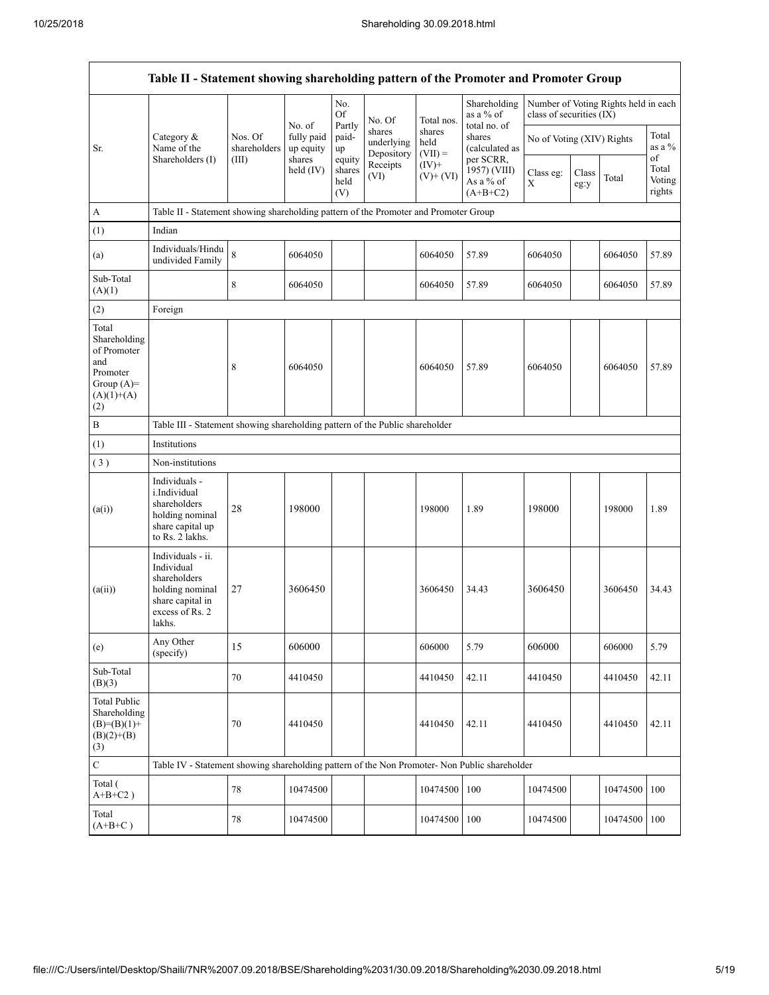| Table II - Statement showing shareholding pattern of the Promoter and Promoter Group           |                                                                                                                     |                                                                              |                                   |                                 |                                    |                             |                                                      |                           |               |                                      |                                 |
|------------------------------------------------------------------------------------------------|---------------------------------------------------------------------------------------------------------------------|------------------------------------------------------------------------------|-----------------------------------|---------------------------------|------------------------------------|-----------------------------|------------------------------------------------------|---------------------------|---------------|--------------------------------------|---------------------------------|
|                                                                                                |                                                                                                                     |                                                                              |                                   | No.<br><b>Of</b>                | No. Of                             | Total nos.                  | Shareholding<br>as a % of                            | class of securities (IX)  |               | Number of Voting Rights held in each |                                 |
| Sr.                                                                                            | Category &<br>Name of the                                                                                           | Nos. Of<br>shareholders                                                      | No. of<br>fully paid<br>up equity | Partly<br>paid-<br>up           | shares<br>underlying<br>Depository | shares<br>held<br>$(VII) =$ | total no. of<br>shares<br>(calculated as             | No of Voting (XIV) Rights |               |                                      | Total<br>as a %                 |
|                                                                                                | Shareholders (I)                                                                                                    | (III)                                                                        | shares<br>held $(IV)$             | equity<br>shares<br>held<br>(V) | Receipts<br>(VI)                   | $(IV)+$<br>$(V)$ + $(VI)$   | per SCRR,<br>1957) (VIII)<br>As a % of<br>$(A+B+C2)$ | Class eg:<br>X            | Class<br>eg:y | Total                                | of<br>Total<br>Voting<br>rights |
| A                                                                                              | Table II - Statement showing shareholding pattern of the Promoter and Promoter Group                                |                                                                              |                                   |                                 |                                    |                             |                                                      |                           |               |                                      |                                 |
| (1)                                                                                            | Indian                                                                                                              |                                                                              |                                   |                                 |                                    |                             |                                                      |                           |               |                                      |                                 |
| (a)                                                                                            | Individuals/Hindu<br>undivided Family                                                                               | 8                                                                            | 6064050                           |                                 |                                    | 6064050                     | 57.89                                                | 6064050                   |               | 6064050                              | 57.89                           |
| Sub-Total<br>(A)(1)                                                                            |                                                                                                                     | 8                                                                            | 6064050                           |                                 |                                    | 6064050                     | 57.89                                                | 6064050                   |               | 6064050                              | 57.89                           |
| (2)                                                                                            | Foreign                                                                                                             |                                                                              |                                   |                                 |                                    |                             |                                                      |                           |               |                                      |                                 |
| Total<br>Shareholding<br>of Promoter<br>and<br>Promoter<br>Group $(A)=$<br>$(A)(1)+(A)$<br>(2) |                                                                                                                     | 8                                                                            | 6064050                           |                                 |                                    | 6064050                     | 57.89                                                | 6064050                   |               | 6064050                              | 57.89                           |
| B                                                                                              |                                                                                                                     | Table III - Statement showing shareholding pattern of the Public shareholder |                                   |                                 |                                    |                             |                                                      |                           |               |                                      |                                 |
| (1)                                                                                            | Institutions                                                                                                        |                                                                              |                                   |                                 |                                    |                             |                                                      |                           |               |                                      |                                 |
| (3)                                                                                            | Non-institutions                                                                                                    |                                                                              |                                   |                                 |                                    |                             |                                                      |                           |               |                                      |                                 |
| (a(i))                                                                                         | Individuals -<br>i.Individual<br>shareholders<br>holding nominal<br>share capital up<br>to Rs. 2 lakhs.             | 28                                                                           | 198000                            |                                 |                                    | 198000                      | 1.89                                                 | 198000                    |               | 198000                               | 1.89                            |
| (a(ii))                                                                                        | Individuals - ii.<br>Individual<br>shareholders<br>holding nominal<br>share capital in<br>excess of Rs. 2<br>lakhs. | 27                                                                           | 3606450                           |                                 |                                    | 3606450                     | 34.43                                                | 3606450                   |               | 3606450                              | 34.43                           |
| (e)                                                                                            | Any Other<br>(specify)                                                                                              | 15                                                                           | 606000                            |                                 |                                    | 606000                      | 5.79                                                 | 606000                    |               | 606000                               | 5.79                            |
| Sub-Total<br>(B)(3)                                                                            |                                                                                                                     | $70\,$                                                                       | 4410450                           |                                 |                                    | 4410450                     | 42.11                                                | 4410450                   |               | 4410450                              | 42.11                           |
| <b>Total Public</b><br>Shareholding<br>$(B)=(B)(1)+$<br>$(B)(2)+(B)$<br>(3)                    |                                                                                                                     | $70\,$                                                                       | 4410450                           |                                 |                                    | 4410450                     | 42.11                                                | 4410450                   |               | 4410450                              | 42.11                           |
| $\mathbf C$                                                                                    | Table IV - Statement showing shareholding pattern of the Non Promoter- Non Public shareholder                       |                                                                              |                                   |                                 |                                    |                             |                                                      |                           |               |                                      |                                 |
| Total (<br>$A+B+C2$ )                                                                          |                                                                                                                     | $78\,$                                                                       | 10474500                          |                                 |                                    | 10474500                    | 100                                                  | 10474500                  |               | 10474500                             | 100                             |
| Total<br>$(A+B+C)$                                                                             |                                                                                                                     | 78                                                                           | 10474500                          |                                 |                                    | 10474500                    | 100                                                  | 10474500                  |               | 10474500                             | 100                             |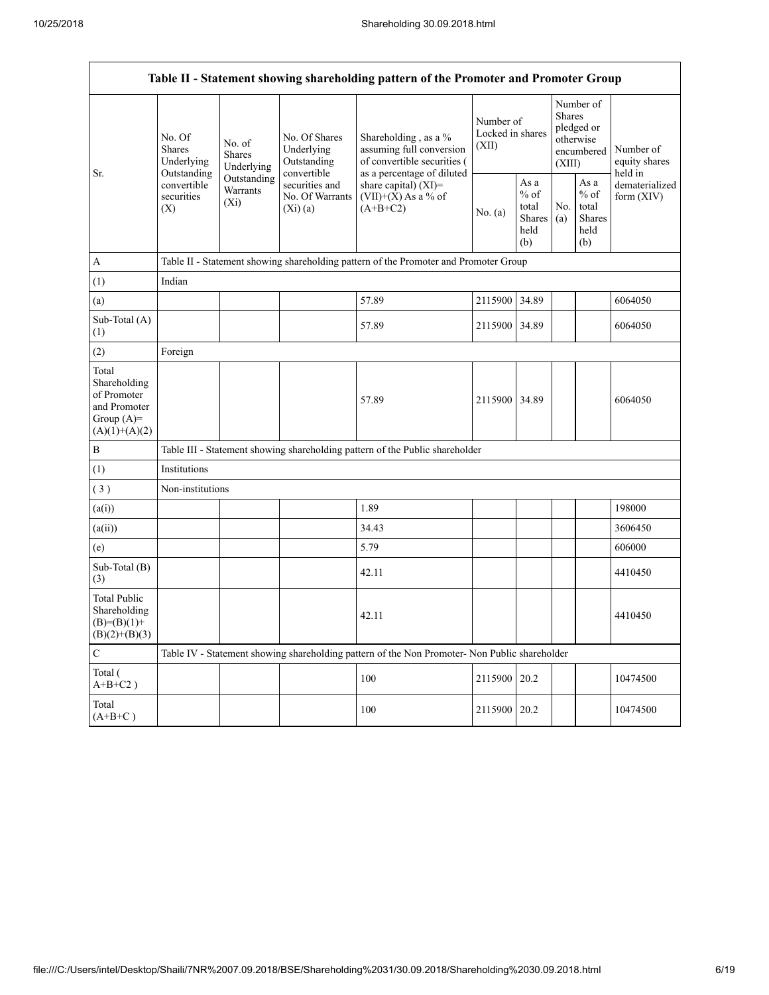| Table II - Statement showing shareholding pattern of the Promoter and Promoter Group    |                                                                                                     |                                       |                                                           |                                                                                                               |                                        |                                                         |                                                                        |                                                          |                                       |
|-----------------------------------------------------------------------------------------|-----------------------------------------------------------------------------------------------------|---------------------------------------|-----------------------------------------------------------|---------------------------------------------------------------------------------------------------------------|----------------------------------------|---------------------------------------------------------|------------------------------------------------------------------------|----------------------------------------------------------|---------------------------------------|
| Sr.                                                                                     | No. Of<br><b>Shares</b><br>Underlying<br>Outstanding<br>convertible<br>securities<br>$(X_i)$<br>(X) | No. of<br><b>Shares</b><br>Underlying | No. Of Shares<br>Underlying<br>Outstanding<br>convertible | Shareholding, as a %<br>assuming full conversion<br>of convertible securities (<br>as a percentage of diluted | Number of<br>Locked in shares<br>(XII) |                                                         | Number of<br>Shares<br>pledged or<br>otherwise<br>encumbered<br>(XIII) |                                                          | Number of<br>equity shares<br>held in |
|                                                                                         |                                                                                                     | Outstanding<br>Warrants               | securities and<br>No. Of Warrants<br>(Xi)(a)              | share capital) (XI)=<br>$(VII)+(X)$ As a % of<br>$(A+B+C2)$                                                   | No. (a)                                | As a<br>$%$ of<br>total<br><b>Shares</b><br>held<br>(b) | No.<br>(a)                                                             | As a<br>$\%$ of<br>total<br><b>Shares</b><br>held<br>(b) | dematerialized<br>form $(XIV)$        |
| A                                                                                       |                                                                                                     |                                       |                                                           | Table II - Statement showing shareholding pattern of the Promoter and Promoter Group                          |                                        |                                                         |                                                                        |                                                          |                                       |
| (1)                                                                                     | Indian                                                                                              |                                       |                                                           |                                                                                                               |                                        |                                                         |                                                                        |                                                          |                                       |
| (a)                                                                                     |                                                                                                     |                                       |                                                           | 57.89                                                                                                         | 2115900 34.89                          |                                                         |                                                                        |                                                          | 6064050                               |
| Sub-Total (A)<br>(1)                                                                    |                                                                                                     |                                       |                                                           | 57.89                                                                                                         | 2115900 34.89                          |                                                         |                                                                        |                                                          | 6064050                               |
| (2)                                                                                     | Foreign                                                                                             |                                       |                                                           |                                                                                                               |                                        |                                                         |                                                                        |                                                          |                                       |
| Total<br>Shareholding<br>of Promoter<br>and Promoter<br>Group $(A)=$<br>$(A)(1)+(A)(2)$ |                                                                                                     |                                       |                                                           | 57.89                                                                                                         | 2115900 34.89                          |                                                         |                                                                        |                                                          | 6064050                               |
| $\, {\bf B}$                                                                            |                                                                                                     |                                       |                                                           | Table III - Statement showing shareholding pattern of the Public shareholder                                  |                                        |                                                         |                                                                        |                                                          |                                       |
| (1)                                                                                     | Institutions                                                                                        |                                       |                                                           |                                                                                                               |                                        |                                                         |                                                                        |                                                          |                                       |
| (3)                                                                                     | Non-institutions                                                                                    |                                       |                                                           |                                                                                                               |                                        |                                                         |                                                                        |                                                          |                                       |
| (a(i))                                                                                  |                                                                                                     |                                       |                                                           | 1.89                                                                                                          |                                        |                                                         |                                                                        |                                                          | 198000                                |
| (a(ii))                                                                                 |                                                                                                     |                                       |                                                           | 34.43                                                                                                         |                                        |                                                         |                                                                        |                                                          | 3606450                               |
| (e)                                                                                     |                                                                                                     |                                       |                                                           | 5.79                                                                                                          |                                        |                                                         |                                                                        |                                                          | 606000                                |
| Sub-Total (B)<br>(3)                                                                    |                                                                                                     |                                       |                                                           | 42.11                                                                                                         |                                        |                                                         |                                                                        |                                                          | 4410450                               |
| <b>Total Public</b><br>Shareholding<br>$(B)= (B)(1) +$<br>$(B)(2)+(B)(3)$               |                                                                                                     |                                       |                                                           | 42.11                                                                                                         |                                        |                                                         |                                                                        |                                                          | 4410450                               |
| $\mathbf C$                                                                             |                                                                                                     |                                       |                                                           | Table IV - Statement showing shareholding pattern of the Non Promoter- Non Public shareholder                 |                                        |                                                         |                                                                        |                                                          |                                       |
| Total (<br>$A+B+C2$ )                                                                   |                                                                                                     |                                       |                                                           | 100                                                                                                           | 2115900                                | 20.2                                                    |                                                                        |                                                          | 10474500                              |
| Total<br>$(A+B+C)$                                                                      |                                                                                                     |                                       |                                                           | 100                                                                                                           | 2115900 20.2                           |                                                         |                                                                        |                                                          | 10474500                              |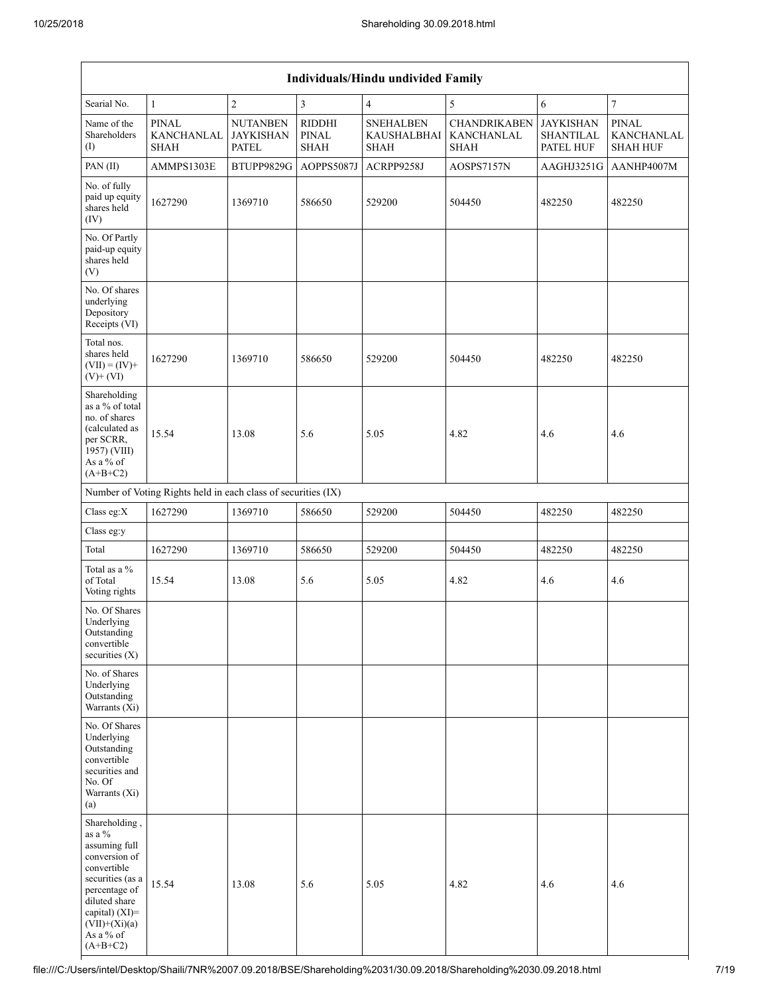| Individuals/Hindu undivided Family                                                                                                                                                                |                                                               |                                                     |                                       |                                                |                                                  |                                            |                                               |  |  |
|---------------------------------------------------------------------------------------------------------------------------------------------------------------------------------------------------|---------------------------------------------------------------|-----------------------------------------------------|---------------------------------------|------------------------------------------------|--------------------------------------------------|--------------------------------------------|-----------------------------------------------|--|--|
| Searial No.                                                                                                                                                                                       | $\mathbf{1}$                                                  | $\sqrt{2}$                                          | $\mathfrak{Z}$                        | $\overline{4}$                                 | 5                                                | 6                                          | $\overline{7}$                                |  |  |
| Name of the<br>Shareholders<br>(I)                                                                                                                                                                | <b>PINAL</b><br>KANCHANLAL<br><b>SHAH</b>                     | <b>NUTANBEN</b><br><b>JAYKISHAN</b><br><b>PATEL</b> | <b>RIDDHI</b><br>PINAL<br><b>SHAH</b> | <b>SNEHALBEN</b><br><b>KAUSHALBHAI</b><br>SHAH | <b>CHANDRIKABEN</b><br>KANCHANLAL<br><b>SHAH</b> | <b>JAYKISHAN</b><br>SHANTILAL<br>PATEL HUF | <b>PINAL</b><br>KANCHANLAL<br><b>SHAH HUF</b> |  |  |
| PAN (II)                                                                                                                                                                                          | AMMPS1303E                                                    | BTUPP9829G                                          | AOPPS5087J                            | ACRPP9258J                                     | AOSPS7157N                                       | AAGHJ3251G                                 | AANHP4007M                                    |  |  |
| No. of fully<br>paid up equity<br>shares held<br>(IV)                                                                                                                                             | 1627290                                                       | 1369710                                             | 586650                                | 529200                                         | 504450                                           | 482250                                     | 482250                                        |  |  |
| No. Of Partly<br>paid-up equity<br>shares held<br>(V)                                                                                                                                             |                                                               |                                                     |                                       |                                                |                                                  |                                            |                                               |  |  |
| No. Of shares<br>underlying<br>Depository<br>Receipts (VI)                                                                                                                                        |                                                               |                                                     |                                       |                                                |                                                  |                                            |                                               |  |  |
| Total nos.<br>shares held<br>$(VII) = (IV) +$<br>$(V)+(VI)$                                                                                                                                       | 1627290                                                       | 1369710                                             | 586650                                | 529200                                         | 504450                                           | 482250                                     | 482250                                        |  |  |
| Shareholding<br>as a % of total<br>no. of shares<br>(calculated as<br>per SCRR,<br>1957) (VIII)<br>As a % of<br>$(A+B+C2)$                                                                        | 15.54                                                         | 13.08                                               | 5.6                                   | 5.05                                           | 4.82                                             | 4.6                                        | 4.6                                           |  |  |
|                                                                                                                                                                                                   | Number of Voting Rights held in each class of securities (IX) |                                                     |                                       |                                                |                                                  |                                            |                                               |  |  |
| Class eg:X                                                                                                                                                                                        | 1627290                                                       | 1369710                                             | 586650                                | 529200                                         | 504450                                           | 482250                                     | 482250                                        |  |  |
| Class eg:y                                                                                                                                                                                        |                                                               |                                                     |                                       |                                                |                                                  |                                            |                                               |  |  |
| Total                                                                                                                                                                                             | 1627290                                                       | 1369710                                             | 586650                                | 529200                                         | 504450                                           | 482250                                     | 482250                                        |  |  |
| Total as a %<br>of Total<br>Voting rights                                                                                                                                                         | 15.54                                                         | 13.08                                               | 5.6                                   | 5.05                                           | 4.82                                             | 4.6                                        | 4.6                                           |  |  |
| No. Of Shares<br>Underlying<br>Outstanding<br>convertible<br>securities $(X)$                                                                                                                     |                                                               |                                                     |                                       |                                                |                                                  |                                            |                                               |  |  |
| No. of Shares<br>Underlying<br>Outstanding<br>Warrants $(X_i)$                                                                                                                                    |                                                               |                                                     |                                       |                                                |                                                  |                                            |                                               |  |  |
| No. Of Shares<br>Underlying<br>Outstanding<br>convertible<br>securities and<br>No. Of<br>Warrants (Xi)<br>(a)                                                                                     |                                                               |                                                     |                                       |                                                |                                                  |                                            |                                               |  |  |
| Shareholding,<br>as a %<br>assuming full<br>conversion of<br>convertible<br>securities (as a<br>percentage of<br>diluted share<br>capital) $(XI)$ =<br>$(VII)+(Xi)(a)$<br>As a % of<br>$(A+B+C2)$ | 15.54                                                         | 13.08                                               | 5.6                                   | 5.05                                           | 4.82                                             | 4.6                                        | 4.6                                           |  |  |

┥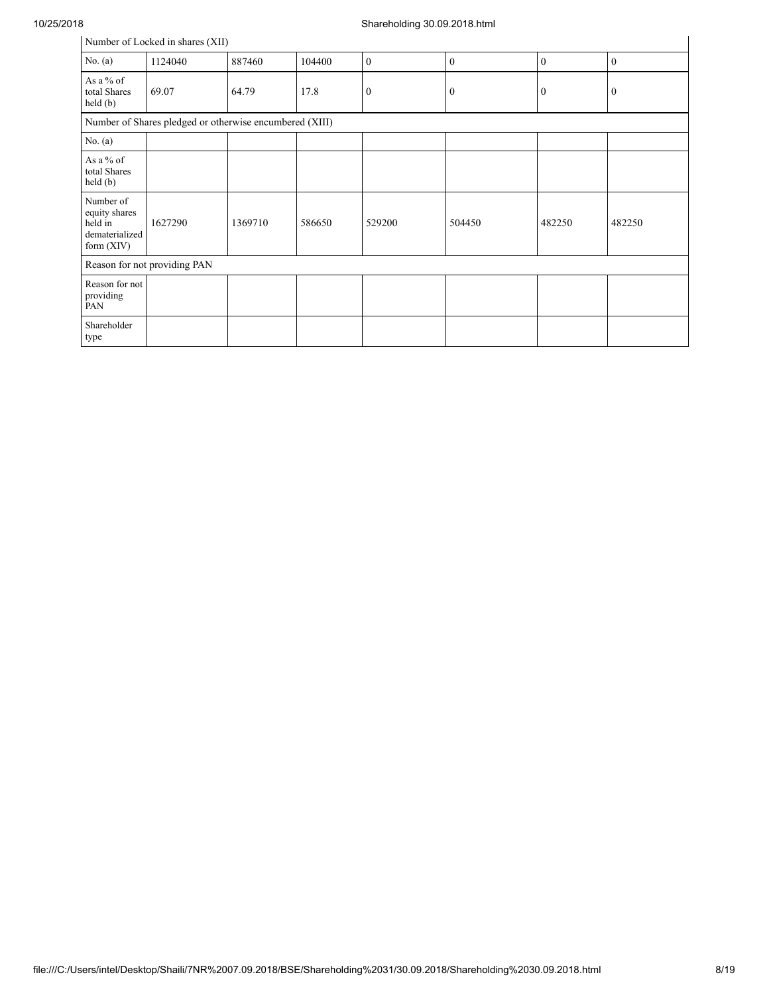| Number of Locked in shares (XII)                                        |                                                         |         |        |                  |              |                  |                |  |  |  |
|-------------------------------------------------------------------------|---------------------------------------------------------|---------|--------|------------------|--------------|------------------|----------------|--|--|--|
| No. $(a)$                                                               | 1124040                                                 | 887460  | 104400 | $\mathbf{0}$     | $\mathbf{0}$ | $\mathbf{0}$     | $\mathbf{0}$   |  |  |  |
| As a % of<br>total Shares<br>$\text{held}(\text{b})$                    | 69.07                                                   | 64.79   | 17.8   | $\boldsymbol{0}$ | $\bf{0}$     | $\boldsymbol{0}$ | $\overline{0}$ |  |  |  |
|                                                                         | Number of Shares pledged or otherwise encumbered (XIII) |         |        |                  |              |                  |                |  |  |  |
| No. $(a)$                                                               |                                                         |         |        |                  |              |                  |                |  |  |  |
| As a % of<br>total Shares<br>held(b)                                    |                                                         |         |        |                  |              |                  |                |  |  |  |
| Number of<br>equity shares<br>held in<br>dematerialized<br>form $(XIV)$ | 1627290                                                 | 1369710 | 586650 | 529200           | 504450       | 482250           | 482250         |  |  |  |
|                                                                         | Reason for not providing PAN                            |         |        |                  |              |                  |                |  |  |  |
| Reason for not<br>providing<br>PAN                                      |                                                         |         |        |                  |              |                  |                |  |  |  |
| Shareholder<br>type                                                     |                                                         |         |        |                  |              |                  |                |  |  |  |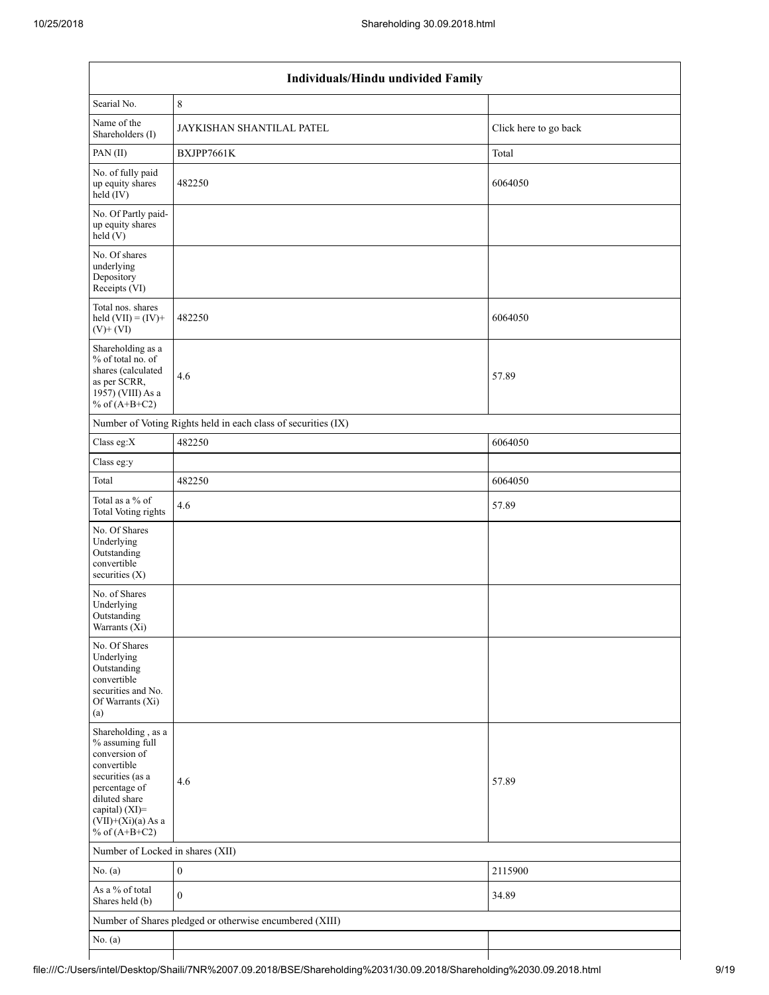| Individuals/Hindu undivided Family                                                                                                                                                       |                                                               |                       |  |  |  |  |  |  |
|------------------------------------------------------------------------------------------------------------------------------------------------------------------------------------------|---------------------------------------------------------------|-----------------------|--|--|--|--|--|--|
| Searial No.                                                                                                                                                                              | $\,$ 8 $\,$                                                   |                       |  |  |  |  |  |  |
| Name of the<br>Shareholders (I)                                                                                                                                                          | JAYKISHAN SHANTILAL PATEL                                     | Click here to go back |  |  |  |  |  |  |
| PAN(II)                                                                                                                                                                                  | BXJPP7661K                                                    | Total                 |  |  |  |  |  |  |
| No. of fully paid<br>up equity shares<br>$held$ (IV)                                                                                                                                     | 482250                                                        | 6064050               |  |  |  |  |  |  |
| No. Of Partly paid-<br>up equity shares<br>held(V)                                                                                                                                       |                                                               |                       |  |  |  |  |  |  |
| No. Of shares<br>underlying<br>Depository<br>Receipts (VI)                                                                                                                               |                                                               |                       |  |  |  |  |  |  |
| Total nos. shares<br>held $(VII) = (IV) +$<br>$(V)$ + $(VI)$                                                                                                                             | 482250                                                        | 6064050               |  |  |  |  |  |  |
| Shareholding as a<br>% of total no. of<br>shares (calculated<br>as per SCRR,<br>1957) (VIII) As a<br>% of $(A+B+C2)$                                                                     | 4.6                                                           | 57.89                 |  |  |  |  |  |  |
|                                                                                                                                                                                          | Number of Voting Rights held in each class of securities (IX) |                       |  |  |  |  |  |  |
| Class eg:X                                                                                                                                                                               | 482250                                                        | 6064050               |  |  |  |  |  |  |
| Class eg:y                                                                                                                                                                               |                                                               |                       |  |  |  |  |  |  |
| Total                                                                                                                                                                                    | 482250                                                        | 6064050               |  |  |  |  |  |  |
| Total as a % of<br><b>Total Voting rights</b>                                                                                                                                            | 4.6                                                           | 57.89                 |  |  |  |  |  |  |
| No. Of Shares<br>Underlying<br>Outstanding<br>convertible<br>securities (X)                                                                                                              |                                                               |                       |  |  |  |  |  |  |
| No. of Shares<br>Underlying<br>Outstanding<br>Warrants (Xi)                                                                                                                              |                                                               |                       |  |  |  |  |  |  |
| No. Of Shares<br>Underlying<br>Outstanding<br>convertible<br>securities and No.<br>Of Warrants (Xi)<br>(a)                                                                               |                                                               |                       |  |  |  |  |  |  |
| Shareholding, as a<br>% assuming full<br>conversion of<br>convertible<br>securities (as a<br>percentage of<br>diluted share<br>capital) (XI)=<br>$(VII)+(Xi)(a)$ As a<br>% of $(A+B+C2)$ | 4.6                                                           | 57.89                 |  |  |  |  |  |  |
| Number of Locked in shares (XII)                                                                                                                                                         |                                                               |                       |  |  |  |  |  |  |
| No. (a)                                                                                                                                                                                  | $\boldsymbol{0}$                                              | 2115900               |  |  |  |  |  |  |
| As a % of total<br>Shares held (b)                                                                                                                                                       | $\theta$                                                      | 34.89                 |  |  |  |  |  |  |
|                                                                                                                                                                                          | Number of Shares pledged or otherwise encumbered (XIII)       |                       |  |  |  |  |  |  |
| No. (a)                                                                                                                                                                                  |                                                               |                       |  |  |  |  |  |  |
|                                                                                                                                                                                          |                                                               |                       |  |  |  |  |  |  |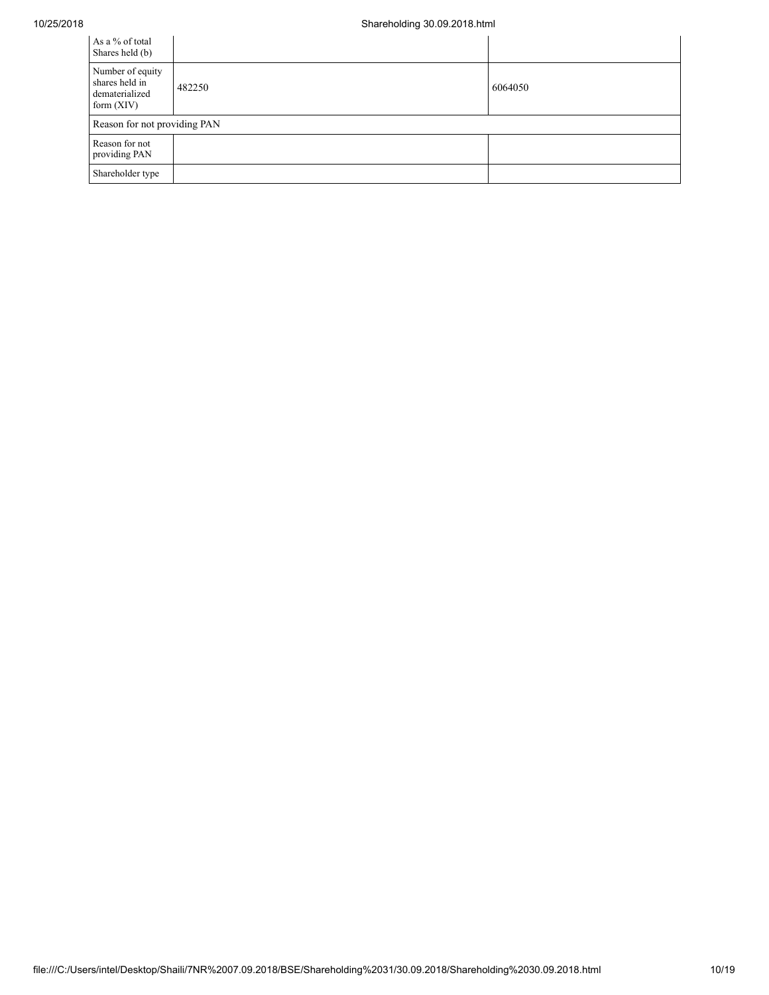| As a % of total<br>Shares held (b)                                   |        |         |
|----------------------------------------------------------------------|--------|---------|
| Number of equity<br>shares held in<br>dematerialized<br>form $(XIV)$ | 482250 | 6064050 |
| Reason for not providing PAN                                         |        |         |
| Reason for not<br>providing PAN                                      |        |         |
| Shareholder type                                                     |        |         |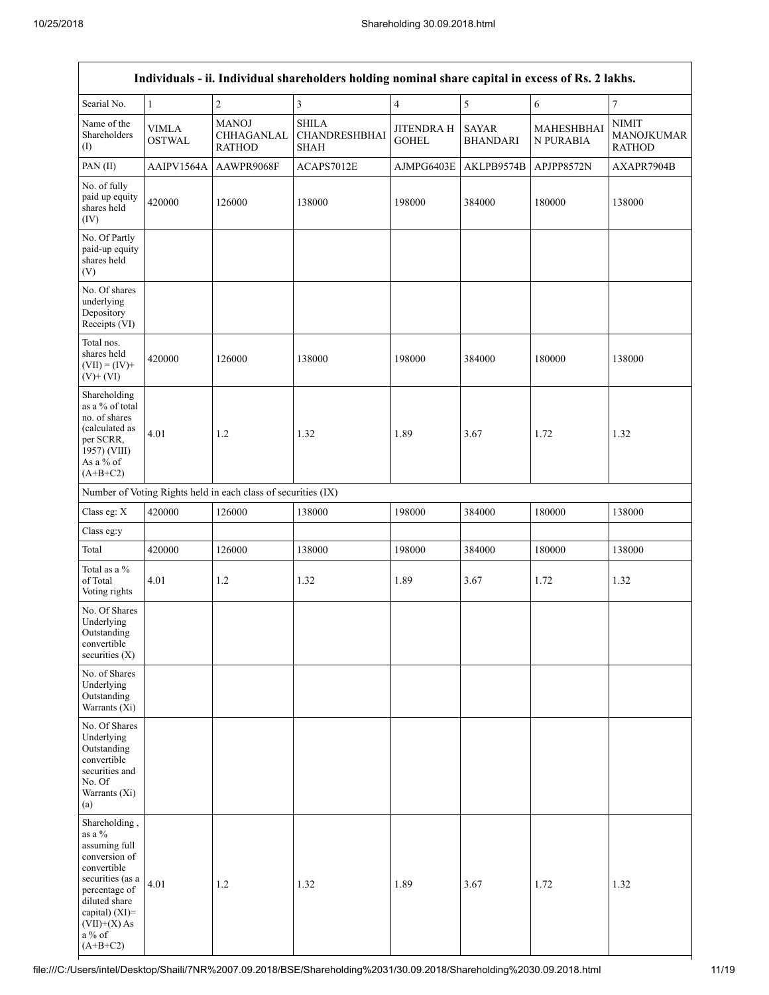|                                                                                                                                                                                                  | Individuals - ii. Individual shareholders holding nominal share capital in excess of Rs. 2 lakhs. |                                                               |                                                     |                                   |                                 |                         |                                             |  |  |  |
|--------------------------------------------------------------------------------------------------------------------------------------------------------------------------------------------------|---------------------------------------------------------------------------------------------------|---------------------------------------------------------------|-----------------------------------------------------|-----------------------------------|---------------------------------|-------------------------|---------------------------------------------|--|--|--|
| Searial No.                                                                                                                                                                                      | $\mathbf{1}$                                                                                      | $\overline{c}$                                                | $\mathfrak{Z}$                                      | $\overline{4}$                    | $\sqrt{5}$                      | $\sqrt{6}$              | $\overline{7}$                              |  |  |  |
| Name of the<br>Shareholders<br>(1)                                                                                                                                                               | <b>VIMLA</b><br><b>OSTWAL</b>                                                                     | <b>MANOJ</b><br>CHHAGANLAL<br><b>RATHOD</b>                   | <b>SHILA</b><br><b>CHANDRESHBHAI</b><br><b>SHAH</b> | <b>JITENDRA H</b><br><b>GOHEL</b> | <b>SAYAR</b><br><b>BHANDARI</b> | MAHESHBHAI<br>N PURABIA | <b>NIMIT</b><br>MANOJKUMAR<br><b>RATHOD</b> |  |  |  |
| PAN(II)                                                                                                                                                                                          | AAIPV1564A                                                                                        | AAWPR9068F                                                    | ACAPS7012E                                          | AJMPG6403E                        | AKLPB9574B                      | APJPP8572N              | AXAPR7904B                                  |  |  |  |
| No. of fully<br>paid up equity<br>shares held<br>(IV)                                                                                                                                            | 420000                                                                                            | 126000                                                        | 138000                                              | 198000                            | 384000                          | 180000                  | 138000                                      |  |  |  |
| No. Of Partly<br>paid-up equity<br>shares held<br>(V)                                                                                                                                            |                                                                                                   |                                                               |                                                     |                                   |                                 |                         |                                             |  |  |  |
| No. Of shares<br>underlying<br>Depository<br>Receipts (VI)                                                                                                                                       |                                                                                                   |                                                               |                                                     |                                   |                                 |                         |                                             |  |  |  |
| Total nos.<br>shares held<br>$(VII) = (IV) +$<br>$(V)$ + $(VI)$                                                                                                                                  | 420000                                                                                            | 126000                                                        | 138000                                              | 198000                            | 384000                          | 180000                  | 138000                                      |  |  |  |
| Shareholding<br>as a % of total<br>no. of shares<br>(calculated as<br>per SCRR,<br>1957) (VIII)<br>As a % of<br>$(A+B+C2)$                                                                       | 4.01                                                                                              | 1.2                                                           | 1.32                                                | 1.89                              | 3.67                            | 1.72                    | 1.32                                        |  |  |  |
|                                                                                                                                                                                                  |                                                                                                   | Number of Voting Rights held in each class of securities (IX) |                                                     |                                   |                                 |                         |                                             |  |  |  |
| Class eg: X                                                                                                                                                                                      | 420000                                                                                            | 126000                                                        | 138000                                              | 198000                            | 384000                          | 180000                  | 138000                                      |  |  |  |
| Class eg:y                                                                                                                                                                                       |                                                                                                   |                                                               |                                                     |                                   |                                 |                         |                                             |  |  |  |
| Total                                                                                                                                                                                            | 420000                                                                                            | 126000                                                        | 138000                                              | 198000                            | 384000                          | 180000                  | 138000                                      |  |  |  |
| Total as a $\%$<br>of Total<br>Voting rights                                                                                                                                                     | 4.01                                                                                              | 1.2                                                           | 1.32                                                | 1.89                              | 3.67                            | 1.72                    | 1.32                                        |  |  |  |
| No. Of Shares<br>Underlying<br>Outstanding<br>convertible<br>securities $(X)$                                                                                                                    |                                                                                                   |                                                               |                                                     |                                   |                                 |                         |                                             |  |  |  |
| No. of Shares<br>Underlying<br>Outstanding<br>Warrants (Xi)                                                                                                                                      |                                                                                                   |                                                               |                                                     |                                   |                                 |                         |                                             |  |  |  |
| No. Of Shares<br>Underlying<br>Outstanding<br>convertible<br>securities and<br>No. Of<br>Warrants (Xi)<br>(a)                                                                                    |                                                                                                   |                                                               |                                                     |                                   |                                 |                         |                                             |  |  |  |
| Shareholding,<br>as a $\%$<br>assuming full<br>conversion of<br>convertible<br>securities (as a<br>percentage of<br>diluted share<br>capital) (XI)=<br>$(VII)+(X)$ As<br>a $\%$ of<br>$(A+B+C2)$ | 4.01                                                                                              | $1.2\,$                                                       | 1.32                                                | 1.89                              | 3.67                            | 1.72                    | 1.32                                        |  |  |  |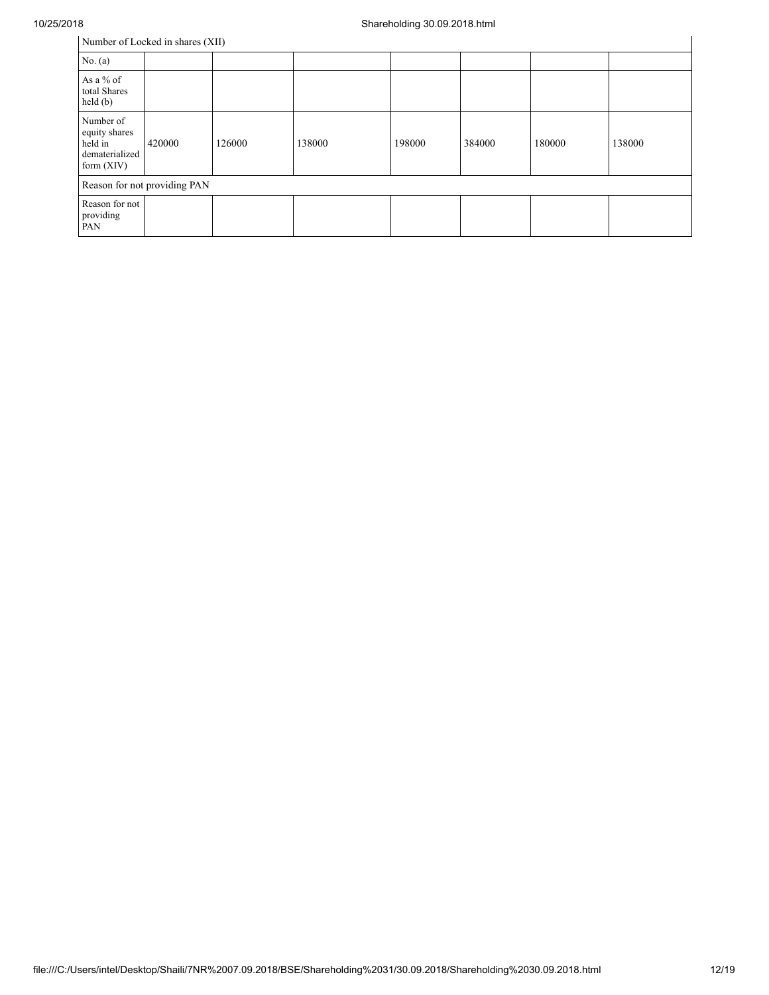| Number of Locked in shares (XII)                                        |        |        |        |        |        |        |        |
|-------------------------------------------------------------------------|--------|--------|--------|--------|--------|--------|--------|
| No. $(a)$                                                               |        |        |        |        |        |        |        |
| As a $%$ of<br>total Shares<br>held(b)                                  |        |        |        |        |        |        |        |
| Number of<br>equity shares<br>held in<br>dematerialized<br>form $(XIV)$ | 420000 | 126000 | 138000 | 198000 | 384000 | 180000 | 138000 |
| Reason for not providing PAN                                            |        |        |        |        |        |        |        |
| Reason for not<br>providing<br>PAN                                      |        |        |        |        |        |        |        |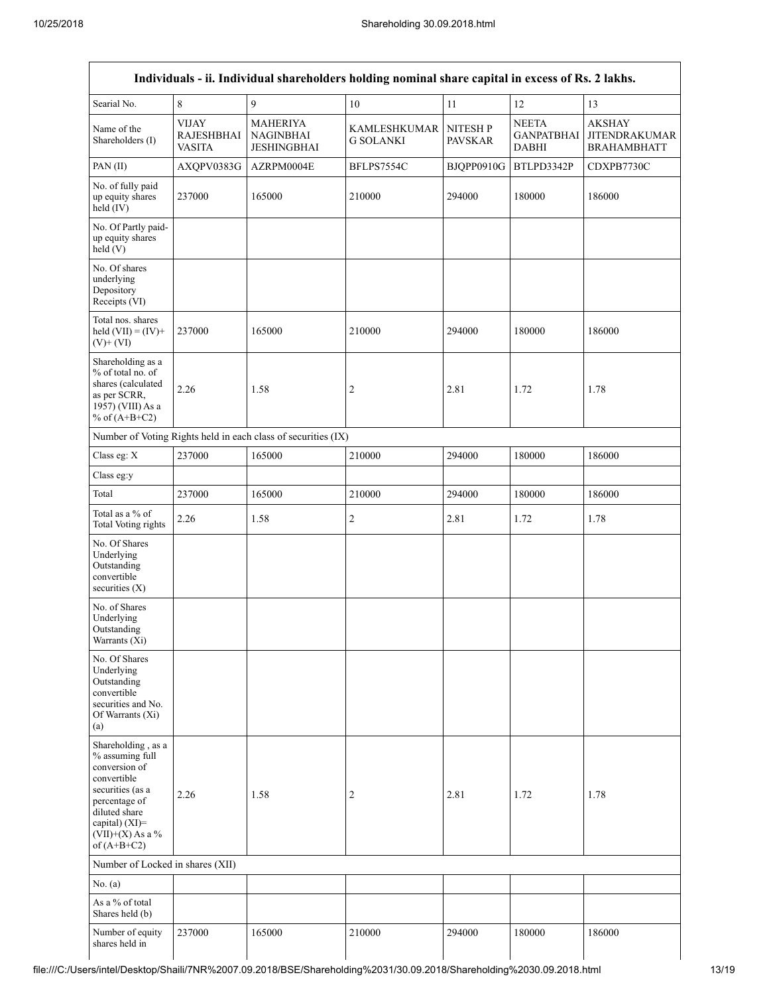|                                                                                                                                                                                      |                                                    | Individuals - ii. Individual shareholders holding nominal share capital in excess of Rs. 2 lakhs. |                                         |                            |                                                   |                                                             |
|--------------------------------------------------------------------------------------------------------------------------------------------------------------------------------------|----------------------------------------------------|---------------------------------------------------------------------------------------------------|-----------------------------------------|----------------------------|---------------------------------------------------|-------------------------------------------------------------|
| Searial No.                                                                                                                                                                          | $\,$ $\,$                                          | 9                                                                                                 | $10\,$                                  | 11                         | 12                                                | 13                                                          |
| Name of the<br>Shareholders (I)                                                                                                                                                      | <b>VIJAY</b><br><b>RAJESHBHAI</b><br><b>VASITA</b> | <b>MAHERIYA</b><br><b>NAGINBHAI</b><br><b>JESHINGBHAI</b>                                         | <b>KAMLESHKUMAR</b><br><b>G SOLANKI</b> | NITESH P<br><b>PAVSKAR</b> | <b>NEETA</b><br><b>GANPATBHAI</b><br><b>DABHI</b> | <b>AKSHAY</b><br><b>JITENDRAKUMAR</b><br><b>BRAHAMBHATT</b> |
| PAN(II)                                                                                                                                                                              | AXQPV0383G                                         | AZRPM0004E                                                                                        | BFLPS7554C                              | BJQPP0910G                 | BTLPD3342P                                        | CDXPB7730C                                                  |
| No. of fully paid<br>up equity shares<br>held (IV)                                                                                                                                   | 237000                                             | 165000                                                                                            | 210000                                  | 294000                     | 180000                                            | 186000                                                      |
| No. Of Partly paid-<br>up equity shares<br>held(V)                                                                                                                                   |                                                    |                                                                                                   |                                         |                            |                                                   |                                                             |
| No. Of shares<br>underlying<br>Depository<br>Receipts (VI)                                                                                                                           |                                                    |                                                                                                   |                                         |                            |                                                   |                                                             |
| Total nos. shares<br>held $(VII) = (IV) +$<br>$(V)$ + $(VI)$                                                                                                                         | 237000                                             | 165000                                                                                            | 210000                                  | 294000                     | 180000                                            | 186000                                                      |
| Shareholding as a<br>% of total no. of<br>shares (calculated<br>as per SCRR,<br>1957) (VIII) As a<br>% of $(A+B+C2)$                                                                 | 2.26                                               | 1.58                                                                                              | 2                                       | 2.81                       | 1.72                                              | 1.78                                                        |
|                                                                                                                                                                                      |                                                    | Number of Voting Rights held in each class of securities (IX)                                     |                                         |                            |                                                   |                                                             |
| Class eg: X                                                                                                                                                                          | 237000                                             | 165000                                                                                            | 210000                                  | 294000                     | 180000                                            | 186000                                                      |
| Class eg:y                                                                                                                                                                           |                                                    |                                                                                                   |                                         |                            |                                                   |                                                             |
| Total                                                                                                                                                                                | 237000                                             | 165000                                                                                            | 210000                                  | 294000                     | 180000                                            | 186000                                                      |
| Total as a % of<br>Total Voting rights                                                                                                                                               | 2.26                                               | 1.58                                                                                              | $\overline{c}$                          | 2.81                       | 1.72                                              | 1.78                                                        |
| No. Of Shares<br>Underlying<br>Outstanding<br>convertible<br>securities $(X)$                                                                                                        |                                                    |                                                                                                   |                                         |                            |                                                   |                                                             |
| No. of Shares<br>Underlying<br>Outstanding<br>Warrants (Xi)                                                                                                                          |                                                    |                                                                                                   |                                         |                            |                                                   |                                                             |
| No. Of Shares<br>Underlying<br>Outstanding<br>convertible<br>securities and No.<br>Of Warrants (Xi)<br>(a)                                                                           |                                                    |                                                                                                   |                                         |                            |                                                   |                                                             |
| Shareholding, as a<br>% assuming full<br>conversion of<br>convertible<br>securities (as a<br>percentage of<br>diluted share<br>capital) (XI)=<br>$(VII)+(X)$ As a %<br>of $(A+B+C2)$ | 2.26                                               | 1.58                                                                                              | 2                                       | 2.81                       | 1.72                                              | 1.78                                                        |
| Number of Locked in shares (XII)                                                                                                                                                     |                                                    |                                                                                                   |                                         |                            |                                                   |                                                             |
| No. (a)                                                                                                                                                                              |                                                    |                                                                                                   |                                         |                            |                                                   |                                                             |
| As a % of total<br>Shares held (b)                                                                                                                                                   |                                                    |                                                                                                   |                                         |                            |                                                   |                                                             |
| Number of equity<br>shares held in                                                                                                                                                   | 237000                                             | 165000                                                                                            | 210000                                  | 294000                     | 180000                                            | 186000                                                      |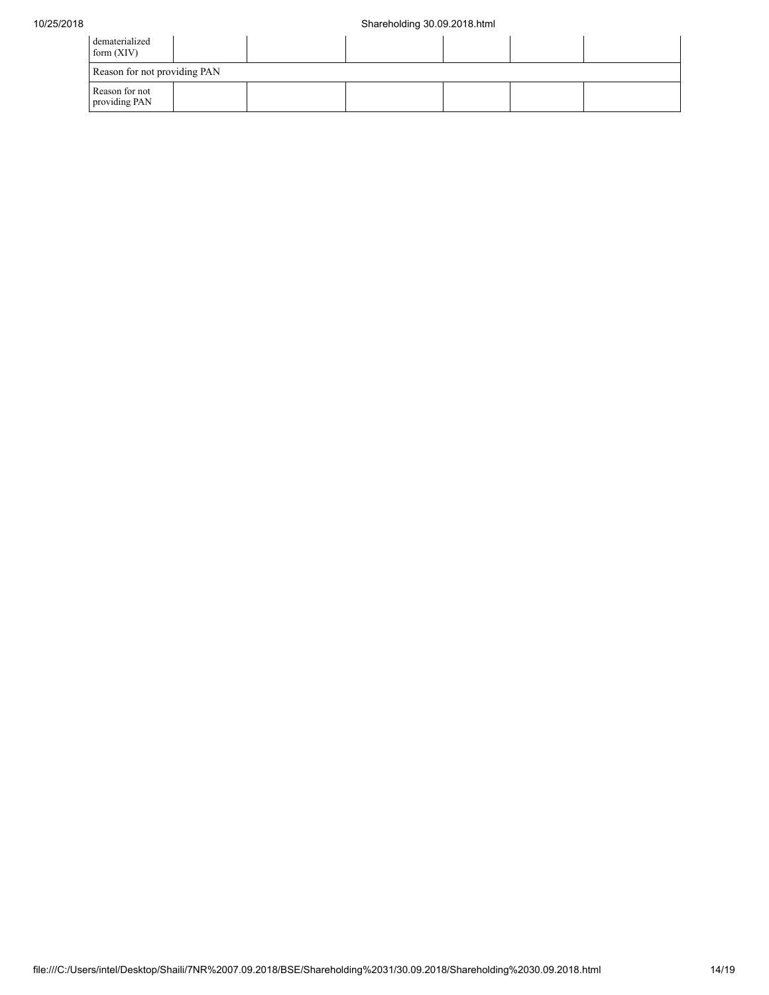| dematerialized<br>form $(XIV)$  |  |  |  |  |  |  |  |
|---------------------------------|--|--|--|--|--|--|--|
| Reason for not providing PAN    |  |  |  |  |  |  |  |
| Reason for not<br>providing PAN |  |  |  |  |  |  |  |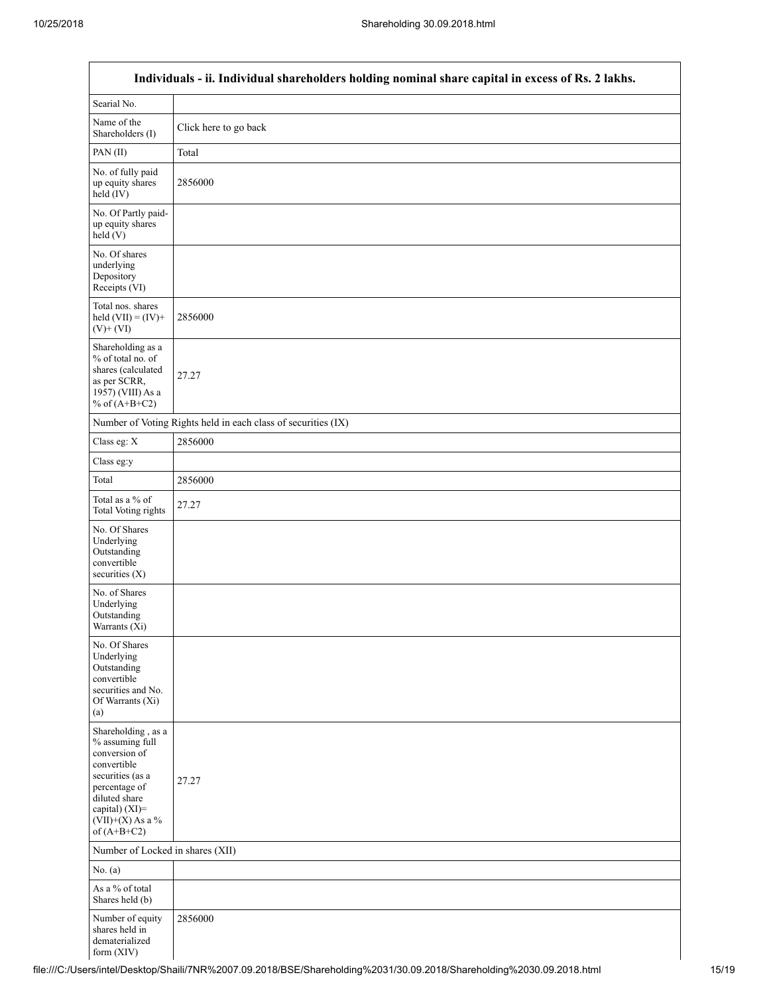$\overline{\Gamma}$ 

|                                                                                                                                                                                         | Individuals - ii. Individual shareholders holding nominal share capital in excess of Rs. 2 lakhs. |  |  |  |  |  |  |
|-----------------------------------------------------------------------------------------------------------------------------------------------------------------------------------------|---------------------------------------------------------------------------------------------------|--|--|--|--|--|--|
| Searial No.                                                                                                                                                                             |                                                                                                   |  |  |  |  |  |  |
| Name of the<br>Shareholders (I)                                                                                                                                                         | Click here to go back                                                                             |  |  |  |  |  |  |
| PAN(II)                                                                                                                                                                                 | Total                                                                                             |  |  |  |  |  |  |
| No. of fully paid<br>up equity shares<br>held (IV)                                                                                                                                      | 2856000                                                                                           |  |  |  |  |  |  |
| No. Of Partly paid-<br>up equity shares<br>held (V)                                                                                                                                     |                                                                                                   |  |  |  |  |  |  |
| No. Of shares<br>underlying<br>Depository<br>Receipts (VI)                                                                                                                              |                                                                                                   |  |  |  |  |  |  |
| Total nos. shares<br>held $(VII) = (IV) +$<br>$(V)$ + $(VI)$                                                                                                                            | 2856000                                                                                           |  |  |  |  |  |  |
| Shareholding as a<br>% of total no. of<br>shares (calculated<br>as per SCRR,<br>1957) (VIII) As a<br>% of $(A+B+C2)$                                                                    | 27.27                                                                                             |  |  |  |  |  |  |
|                                                                                                                                                                                         | Number of Voting Rights held in each class of securities (IX)                                     |  |  |  |  |  |  |
| Class eg: X                                                                                                                                                                             | 2856000                                                                                           |  |  |  |  |  |  |
| Class eg:y                                                                                                                                                                              |                                                                                                   |  |  |  |  |  |  |
| Total                                                                                                                                                                                   | 2856000                                                                                           |  |  |  |  |  |  |
| Total as a % of<br><b>Total Voting rights</b>                                                                                                                                           | 27.27                                                                                             |  |  |  |  |  |  |
| No. Of Shares<br>Underlying<br>Outstanding<br>convertible<br>securities $(X)$                                                                                                           |                                                                                                   |  |  |  |  |  |  |
| No. of Shares<br>Underlying<br>Outstanding<br>Warrants (Xi)                                                                                                                             |                                                                                                   |  |  |  |  |  |  |
| No. Of Shares<br>Underlying<br>Outstanding<br>convertible<br>securities and No.<br>Of Warrants (Xi)<br>(a)                                                                              |                                                                                                   |  |  |  |  |  |  |
| Shareholding, as a<br>% assuming full<br>conversion of<br>convertible<br>securities (as a<br>percentage of<br>diluted share<br>capital) $(XI)$ =<br>$(VII)+(X)$ As a %<br>of $(A+B+C2)$ | 27.27                                                                                             |  |  |  |  |  |  |
| Number of Locked in shares (XII)                                                                                                                                                        |                                                                                                   |  |  |  |  |  |  |
| No. $(a)$                                                                                                                                                                               |                                                                                                   |  |  |  |  |  |  |
| As a % of total<br>Shares held (b)                                                                                                                                                      |                                                                                                   |  |  |  |  |  |  |
| Number of equity<br>shares held in<br>dematerialized<br>form $(XIV)$                                                                                                                    | 2856000                                                                                           |  |  |  |  |  |  |

٦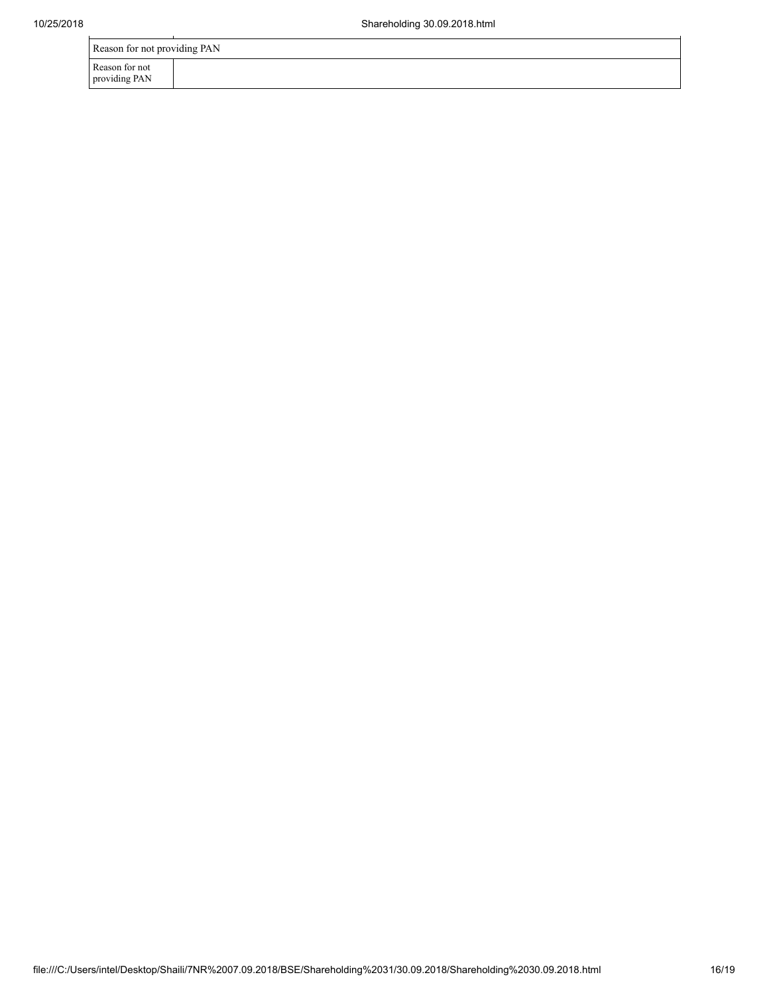providing PAN

| t providing<br>PAN<br>Reason for no.<br>∙not |  |  |  |  |  |  |  |
|----------------------------------------------|--|--|--|--|--|--|--|
| tor not "<br>∵≏ason…                         |  |  |  |  |  |  |  |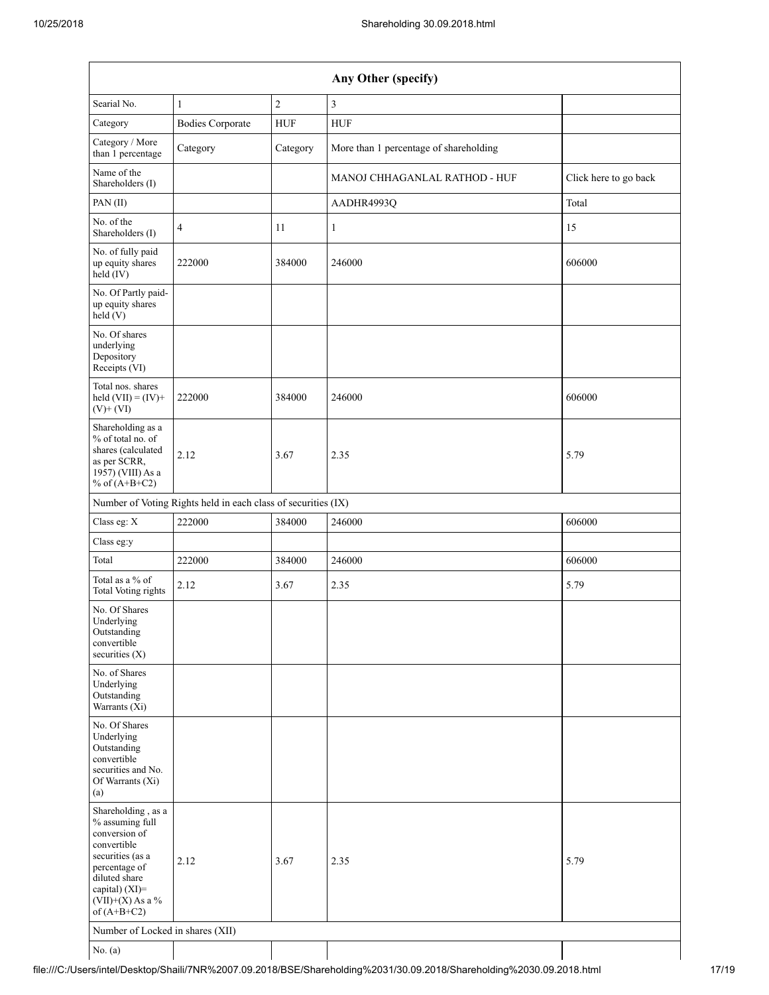|                                                                                                                                                                                      | Any Other (specify)                                           |                |                                        |                       |  |  |
|--------------------------------------------------------------------------------------------------------------------------------------------------------------------------------------|---------------------------------------------------------------|----------------|----------------------------------------|-----------------------|--|--|
| Searial No.                                                                                                                                                                          | 1                                                             | $\overline{c}$ | $\overline{3}$                         |                       |  |  |
| Category                                                                                                                                                                             | <b>Bodies Corporate</b>                                       | ${\rm HUF}$    | <b>HUF</b>                             |                       |  |  |
| Category / More<br>than 1 percentage                                                                                                                                                 | Category                                                      | Category       | More than 1 percentage of shareholding |                       |  |  |
| Name of the<br>Shareholders (I)                                                                                                                                                      |                                                               |                | MANOJ CHHAGANLAL RATHOD - HUF          | Click here to go back |  |  |
| PAN(II)                                                                                                                                                                              |                                                               |                | AADHR4993Q                             | Total                 |  |  |
| No. of the<br>Shareholders (I)                                                                                                                                                       | $\overline{4}$                                                | 11             | 1                                      | 15                    |  |  |
| No. of fully paid<br>up equity shares<br>$held$ (IV)                                                                                                                                 | 222000                                                        | 384000         | 246000                                 | 606000                |  |  |
| No. Of Partly paid-<br>up equity shares<br>held $(V)$                                                                                                                                |                                                               |                |                                        |                       |  |  |
| No. Of shares<br>underlying<br>Depository<br>Receipts (VI)                                                                                                                           |                                                               |                |                                        |                       |  |  |
| Total nos. shares<br>held $(VII) = (IV) +$<br>$(V)$ + $(VI)$                                                                                                                         | 222000                                                        | 384000         | 246000                                 | 606000                |  |  |
| Shareholding as a<br>% of total no. of<br>shares (calculated<br>as per SCRR,<br>1957) (VIII) As a<br>% of $(A+B+C2)$                                                                 | 2.12                                                          | 3.67           | 2.35                                   | 5.79                  |  |  |
|                                                                                                                                                                                      | Number of Voting Rights held in each class of securities (IX) |                |                                        |                       |  |  |
| Class eg: X                                                                                                                                                                          | 222000                                                        | 384000         | 246000                                 | 606000                |  |  |
| Class eg:y                                                                                                                                                                           |                                                               |                |                                        |                       |  |  |
| Total                                                                                                                                                                                | 222000                                                        | 384000         | 246000                                 | 606000                |  |  |
| Total as a % of<br>Total Voting rights                                                                                                                                               | 2.12                                                          | 3.67           | 2.35                                   | 5.79                  |  |  |
| No. Of Shares<br>Underlying<br>Outstanding<br>convertible<br>securities $(X)$                                                                                                        |                                                               |                |                                        |                       |  |  |
| No. of Shares<br>Underlying<br>Outstanding<br>Warrants (Xi)                                                                                                                          |                                                               |                |                                        |                       |  |  |
| No. Of Shares<br>Underlying<br>Outstanding<br>convertible<br>securities and No.<br>Of Warrants (Xi)<br>(a)                                                                           |                                                               |                |                                        |                       |  |  |
| Shareholding, as a<br>% assuming full<br>conversion of<br>convertible<br>securities (as a<br>percentage of<br>diluted share<br>capital) (XI)=<br>$(VII)+(X)$ As a %<br>of $(A+B+C2)$ | 2.12                                                          | 3.67           | 2.35                                   | 5.79                  |  |  |
| Number of Locked in shares (XII)                                                                                                                                                     |                                                               |                |                                        |                       |  |  |
| No. (a)                                                                                                                                                                              |                                                               |                |                                        |                       |  |  |